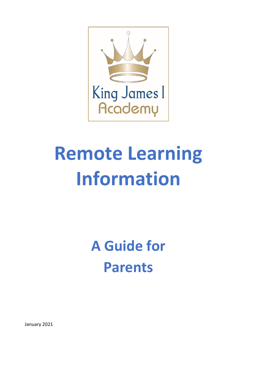

# **Remote Learning Information**

**A Guide for Parents**

January 2021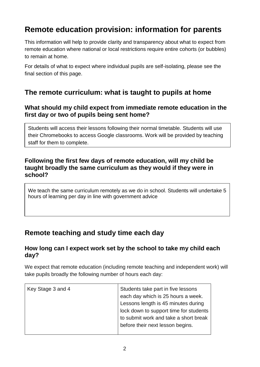# **Remote education provision: information for parents**

This information will help to provide clarity and transparency about what to expect from remote education where national or local restrictions require entire cohorts (or bubbles) to remain at home.

For details of what to expect where individual pupils are self-isolating, please see the final section of this page.

## **The remote curriculum: what is taught to pupils at home**

#### **What should my child expect from immediate remote education in the first day or two of pupils being sent home?**

Students will access their lessons following their normal timetable. Students will use their Chromebooks to access Google classrooms. Work will be provided by teaching staff for them to complete.

#### **Following the first few days of remote education, will my child be taught broadly the same curriculum as they would if they were in school?**

We teach the same curriculum remotely as we do in school. Students will undertake 5 hours of learning per day in line with government advice

## **Remote teaching and study time each day**

#### **How long can I expect work set by the school to take my child each day?**

We expect that remote education (including remote teaching and independent work) will take pupils broadly the following number of hours each day:

| Key Stage 3 and 4 | Students take part in five lessons<br>each day which is 25 hours a week.<br>Lessons length is 45 minutes during<br>lock down to support time for students<br>to submit work and take a short break |
|-------------------|----------------------------------------------------------------------------------------------------------------------------------------------------------------------------------------------------|
|                   |                                                                                                                                                                                                    |
|                   | before their next lesson begins.                                                                                                                                                                   |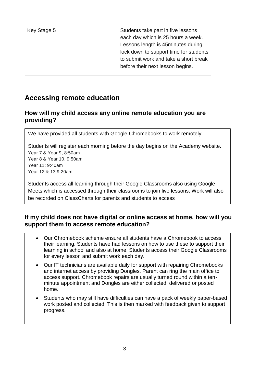| Key Stage 5 | Students take part in five lessons     |
|-------------|----------------------------------------|
|             | each day which is 25 hours a week.     |
|             | Lessons length is 45minutes during     |
|             | lock down to support time for students |
|             | to submit work and take a short break  |
|             | before their next lesson begins.       |
|             |                                        |

## **Accessing remote education**

## **How will my child access any online remote education you are providing?**

We have provided all students with Google Chromebooks to work remotely.

Students will register each morning before the day begins on the Academy website. Year 7 & Year 9, 8:50am Year 8 & Year 10, 9:50am Year 11: 9:40am Year 12 & 13 9:20am

Students access all learning through their Google Classrooms also using Google Meets which is accessed through their classrooms to join live lessons. Work will also be recorded on ClassCharts for parents and students to access

## **If my child does not have digital or online access at home, how will you support them to access remote education?**

- Our Chromebook scheme ensure all students have a Chromebook to access but dimension centermined by the individual teacher in the determined by the detector.<br>their learning. Students have had lessons on how to use these to support their learning in school and also at home. Students access their Google Classrooms for every lesson and submit work each day.
	- Our IT technicians are available daily for support with repairing Chromebooks and internet access by providing Dongles. Parent can ring the main office to access support. Chromebook repairs are usually turned round within a tenminute appointment and Dongles are either collected, delivered or posted home.
	- Students who may still have difficulties can have a pack of weekly paper-based work posted and collected. This is then marked with feedback given to support progress.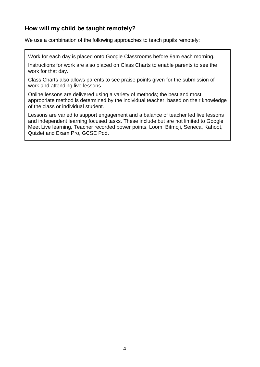## **How will my child be taught remotely?**

We use a combination of the following approaches to teach pupils remotely:

Work for each day is placed onto Google Classrooms before 9am each morning.

Instructions for work are also placed on Class Charts to enable parents to see the work for that day.

Class Charts also allows parents to see praise points given for the submission of work and attending live lessons.

Online lessons are delivered using a variety of methods; the best and most appropriate method is determined by the individual teacher, based on their knowledge of the class or individual student.

Lessons are varied to support engagement and a balance of teacher led live lessons and independent learning focused tasks. These include but are not limited to Google Meet Live learning, Teacher recorded power points, Loom, Bitmoji, Seneca, Kahoot, Quizlet and Exam Pro, GCSE Pod.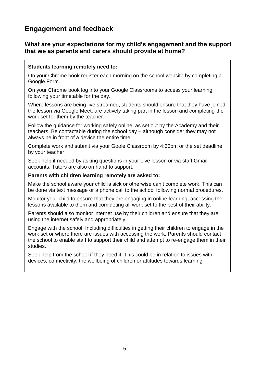## **Engagement and feedback**

#### **What are your expectations for my child's engagement and the support that we as parents and carers should provide at home?**

#### **Students learning remotely need to:**

On your Chrome book register each morning on the school website by completing a Google Form.

On your Chrome book log into your Google Classrooms to access your learning following your timetable for the day.

Where lessons are being live streamed, students should ensure that they have joined the lesson via Google Meet, are actively taking part in the lesson and completing the work set for them by the teacher.

Follow the guidance for working safely online, as set out by the Academy and their teachers. Be contactable during the school day – although consider they may not always be in front of a device the entire time.

Complete work and submit via your Goole Classroom by 4:30pm or the set deadline by your teacher.

Seek help if needed by asking questions in your Live lesson or via staff Gmail accounts. Tutors are also on hand to support.

#### **Parents with children learning remotely are asked to:**

Make the school aware your child is sick or otherwise can't complete work. This can be done via text message or a phone call to the school following normal procedures.

Monitor your child to ensure that they are engaging in online learning, accessing the lessons available to them and completing all work set to the best of their ability.

Parents should also monitor internet use by their children and ensure that they are using the internet safely and appropriately.

Engage with the school. Including difficulties in getting their children to engage in the work set or where there are issues with accessing the work. Parents should contact the school to enable staff to support their child and attempt to re-engage them in their studies.

Seek help from the school if they need it. This could be in relation to issues with devices, connectivity, the wellbeing of children or attitudes towards learning.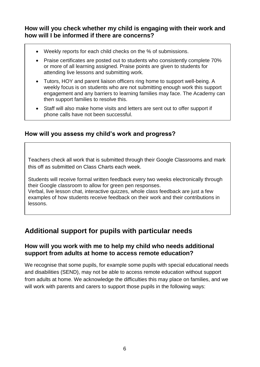#### **How will you check whether my child is engaging with their work and how will I be informed if there are concerns?**

- Weekly reports for each child checks on the % of submissions.
- Praise certificates are posted out to students who consistently complete 70% or more of all learning assigned. Praise points are given to students for attending live lessons and submitting work.
- Tutors, HOY and parent liaison officers ring home to support well-being. A weekly focus is on students who are not submitting enough work this support engagement and any barriers to learning families may face. The Academy can then support families to resolve this.
- Staff will also make home visits and letters are sent out to offer support if phone calls have not been successful.

#### **How will you assess my child's work and progress?**

Teachers check all work that is submitted through their Google Classrooms and mark this off as submitted on Class Charts each week.

Students will receive formal written feedback every two weeks electronically through their Google classroom to allow for green pen responses. Verbal, live lesson chat, interactive quizzes, whole class feedback are just a few examples of how students receive feedback on their work and their contributions in

lessons.

## **Additional support for pupils with particular needs**

#### **How will you work with me to help my child who needs additional support from adults at home to access remote education?**

We recognise that some pupils, for example some pupils with special educational needs and disabilities (SEND), may not be able to access remote education without support from adults at home. We acknowledge the difficulties this may place on families, and we will work with parents and carers to support those pupils in the following ways: